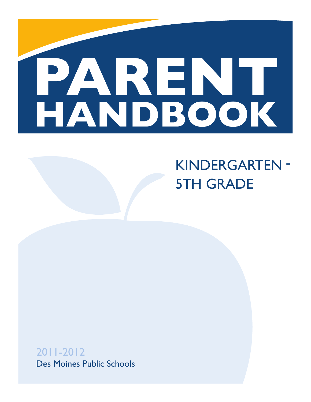

# KINDERGARTEN -5TH GRADE

2011-2012 Des Moines Public Schools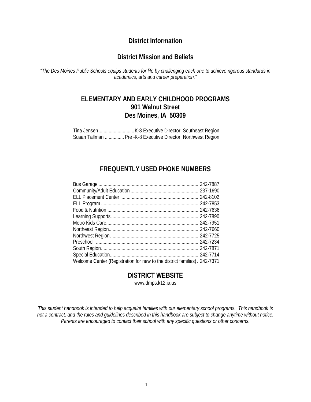# **District Information**

# **District Mission and Beliefs**

*"The Des Moines Public Schools equips students for life by challenging each one to achieve rigorous standards in academics, arts and career preparation."* 

# **ELEMENTARY AND EARLY CHILDHOOD PROGRAMS 901 Walnut Street Des Moines, IA 50309**

Tina Jensen ............................ K-8 Executive Director, Southeast Region Susan Tallman ............... Pre -K-8 Executive Director, Northwest Region

# **FREQUENTLY USED PHONE NUMBERS**

| Welcome Center (Registration for new to the district families) 242-7371 |  |
|-------------------------------------------------------------------------|--|
|                                                                         |  |

# **DISTRICT WEBSITE**

www.dmps.k12.ia.us

*This student handbook is intended to help acquaint families with our elementary school programs. This handbook is not a contract, and the rules and guidelines described in this handbook are subject to change anytime without notice. Parents are encouraged to contact their school with any specific questions or other concerns.*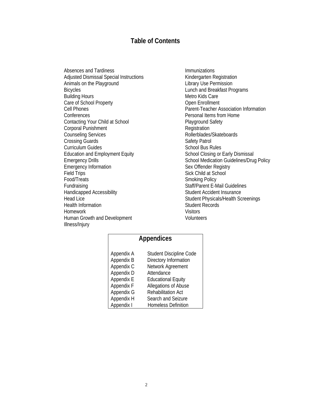# **Table of Contents**

Absences and Tardiness Adjusted Dismissal Special Instructions Animals on the Playground Bicycles Building Hours Care of School Property Cell Phones **Conferences** Contacting Your Child at School Corporal Punishment Counseling Services Crossing Guards Curriculum Guides Education and Employment Equity Emergency Drills Emergency Information Field Trips Food/Treats Fundraising Handicapped Accessibility Head Lice Health Information Homework Human Growth and Development Illness/Injury

Immunizations Kindergarten Registration Library Use Permission Lunch and Breakfast Programs Metro Kids Care Open Enrollment Parent-Teacher Association Information Personal Items from Home Playground Safety **Registration** Rollerblades/Skateboards Safety Patrol School Bus Rules School Closing or Early Dismissal School Medication Guidelines/Drug Policy Sex Offender Registry Sick Child at School Smoking Policy Staff/Parent E-Mail Guidelines Student Accident Insurance Student Physicals/Health Screenings Student Records **Visitors** Volunteers

# **Appendices**

| Appendix A | Student Discipline Code    |
|------------|----------------------------|
| Appendix B | Directory Information      |
| Appendix C | Network Agreement          |
| Appendix D | Attendance                 |
| Appendix E | <b>Educational Equity</b>  |
| Appendix F | Allegations of Abuse       |
| Appendix G | <b>Rehabilitation Act</b>  |
| Appendix H | Search and Seizure         |
| Appendix I | <b>Homeless Definition</b> |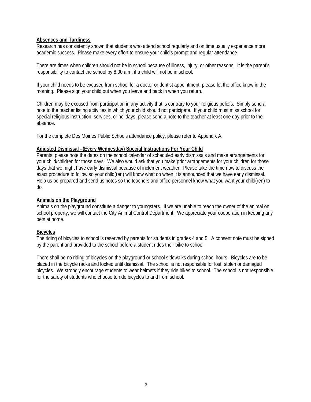## **Absences and Tardiness**

Research has consistently shown that students who attend school regularly and on time usually experience more academic success. Please make every effort to ensure your child's prompt and regular attendance

There are times when children should not be in school because of illness, injury, or other reasons. It is the parent's responsibility to contact the school by 8:00 a.m. if a child will not be in school.

If your child needs to be excused from school for a doctor or dentist appointment, please let the office know in the morning. Please sign your child out when you leave and back in when you return.

Children may be excused from participation in any activity that is contrary to your religious beliefs. Simply send a note to the teacher listing activities in which your child should not participate. If your child must miss school for special religious instruction, services, or holidays, please send a note to the teacher at least one day prior to the absence.

For the complete Des Moines Public Schools attendance policy, please refer to Appendix A.

#### **Adjusted Dismissal –(Every Wednesday) Special Instructions For Your Child**

Parents, please note the dates on the school calendar of scheduled early dismissals and make arrangements for your child/children for those days. We also would ask that you make prior arrangements for your children for those days that we might have early dismissal because of inclement weather. Please take the time now to discuss the exact procedure to follow so your child(ren) will know what do when it is announced that we have early dismissal. Help us be prepared and send us notes so the teachers and office personnel know what you want your child(ren) to do.

#### **Animals on the Playground**

Animals on the playground constitute a danger to youngsters. If we are unable to reach the owner of the animal on school property, we will contact the City Animal Control Department. We appreciate your cooperation in keeping any pets at home.

#### **Bicycles**

The riding of bicycles to school is reserved by parents for students in grades 4 and 5. A consent note must be signed by the parent and provided to the school before a student rides their bike to school.

There shall be no riding of bicycles on the playground or school sidewalks during school hours. Bicycles are to be placed in the bicycle racks and locked until dismissal. The school is not responsible for lost, stolen or damaged bicycles. We strongly encourage students to wear helmets if they ride bikes to school. The school is not responsible for the safety of students who choose to ride bicycles to and from school.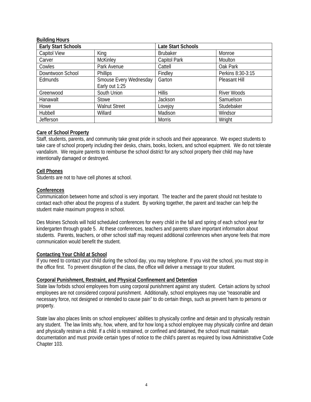#### **Building Hours**

| <b>Early Start Schools</b> |                        | <b>Late Start Schools</b> |                    |
|----------------------------|------------------------|---------------------------|--------------------|
| <b>Capitol View</b>        | King                   | <b>Brubaker</b>           | Monroe             |
| Carver                     | <b>McKinley</b>        | Capitol Park              | Moulton            |
| Cowles                     | Park Avenue            | Cattell                   | Oak Park           |
| Downtwoon School           | <b>Phillips</b>        | Findley                   | Perkins 8:30-3:15  |
| Edmunds                    | Smouse Every Wednesday | Garton                    | Pleasant Hill      |
|                            | Early out 1:25         |                           |                    |
| Greenwood                  | South Union            | <b>Hillis</b>             | <b>River Woods</b> |
| Hanawalt                   | Stowe                  | Jackson                   | Samuelson          |
| Howe                       | <b>Walnut Street</b>   | Lovejoy                   | Studebaker         |
| Hubbell                    | Willard                | Madison                   | Windsor            |
| Jefferson                  |                        | <b>Morris</b>             | Wright             |

#### **Care of School Property**

Staff, students, parents, and community take great pride in schools and their appearance. We expect students to take care of school property including their desks, chairs, books, lockers, and school equipment. We do not tolerate vandalism. We require parents to reimburse the school district for any school property their child may have intentionally damaged or destroyed.

#### **Cell Phones**

Students are not to have cell phones at school.

#### **Conferences**

Communication between home and school is very important. The teacher and the parent should not hesitate to contact each other about the progress of a student. By working together, the parent and teacher can help the student make maximum progress in school.

Des Moines Schools will hold scheduled conferences for every child in the fall and spring of each school year for kindergarten through grade 5. At these conferences, teachers and parents share important information about students. Parents, teachers, or other school staff may request additional conferences when anyone feels that more communication would benefit the student.

#### **Contacting Your Child at School**

If you need to contact your child during the school day, you may telephone. If you visit the school, you must stop in the office first. To prevent disruption of the class, the office will deliver a message to your student.

#### **Corporal Punishment, Restraint, and Physical Confinement and Detention**

State law forbids school employees from using corporal punishment against any student. Certain actions by school employees are not considered corporal punishment. Additionally, school employees may use "reasonable and necessary force, not designed or intended to cause pain" to do certain things, such as prevent harm to persons or property.

State law also places limits on school employees' abilities to physically confine and detain and to physically restrain any student. The law limits why, how, where, and for how long a school employee may physically confine and detain and physically restrain a child. If a child is restrained, or confined and detained, the school must maintain documentation and must provide certain types of notice to the child's parent as required by Iowa Administrative Code Chapter 103.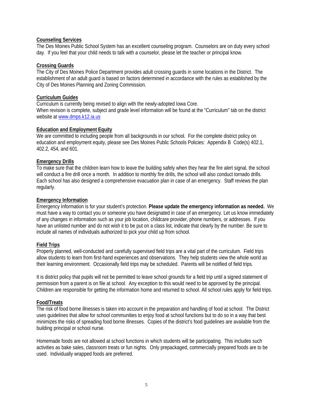#### **Counseling Services**

The Des Moines Public School System has an excellent counseling program. Counselors are on duty every school day. If you feel that your child needs to talk with a counselor, please let the teacher or principal know.

#### **Crossing Guards**

The City of Des Moines Police Department provides adult crossing guards in some locations in the District. The establishment of an adult guard is based on factors determined in accordance with the rules as established by the City of Des Moines Planning and Zoning Commission.

#### **Curriculum Guides**

Curriculum is currently being revised to align with the newly-adopted Iowa Core. When revision is complete, subject and grade level information will be found at the "Curriculum" tab on the district website at www.dmps.k12.ia.us

#### **Education and Employment Equity**

We are committed to including people from all backgrounds in our school. For the complete district policy on education and employment equity, please see Des Moines Public Schools Policies: Appendix B Code(s) 402.1, 402.2, 454, and 601.

#### **Emergency Drills**

To make sure that the children learn how to leave the building safely when they hear the fire alert signal, the school will conduct a fire drill once a month. In addition to monthly fire drills, the school will also conduct tornado drills. Each school has also designed a comprehensive evacuation plan in case of an emergency. Staff reviews the plan regularly.

#### **Emergency Information**

Emergency Information is for your student's protection. **Please update the emergency information as needed.** We must have a way to contact you or someone you have designated in case of an emergency. Let us know immediately of any changes in information such as your job location, childcare provider, phone numbers, or addresses. If you have an unlisted number and do not wish it to be put on a class list, indicate that clearly by the number. Be sure to include all names of individuals authorized to pick your child up from school.

#### **Field Trips**

Properly planned, well-conducted and carefully supervised field trips are a vital part of the curriculum. Field trips allow students to learn from first-hand experiences and observations. They help students view the whole world as their learning environment. Occasionally field trips may be scheduled. Parents will be notified of field trips.

It is district policy that pupils will not be permitted to leave school grounds for a field trip until a signed statement of permission from a parent is on file at school. Any exception to this would need to be approved by the principal. Children are responsible for getting the information home and returned to school. All school rules apply for field trips.

#### **Food/Treats**

The risk of food borne illnesses is taken into account in the preparation and handling of food at school. The District uses guidelines that allow for school communities to enjoy food at school functions but to do so in a way that best minimizes the risks of spreading food borne illnesses. Copies of the district's food guidelines are available from the building principal or school nurse.

Homemade foods are not allowed at school functions in which students will be participating. This includes such activities as bake sales, classroom treats or fun nights. Only prepackaged, commercially prepared foods are to be used. Individually wrapped foods are preferred.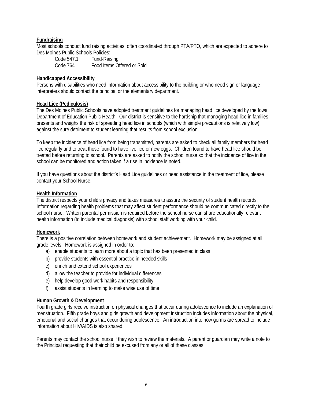#### **Fundraising**

Most schools conduct fund raising activities, often coordinated through PTA/PTO, which are expected to adhere to Des Moines Public Schools Policies:

 Code 547.1 Fund-Raising Code 764 Food Items Offered or Sold

#### **Handicapped Accessibility**

Persons with disabilities who need information about accessibility to the building or who need sign or language interpreters should contact the principal or the elementary department.

#### **Head Lice (Pediculosis)**

The Des Moines Public Schools have adopted treatment guidelines for managing head lice developed by the Iowa Department of Education Public Health. Our district is sensitive to the hardship that managing head lice in families presents and weighs the risk of spreading head lice in schools (which with simple precautions is relatively low) against the sure detriment to student learning that results from school exclusion.

To keep the incidence of head lice from being transmitted, parents are asked to check all family members for head lice regularly and to treat those found to have live lice or new eggs. Children found to have head lice should be treated before returning to school. Parents are asked to notify the school nurse so that the incidence of lice in the school can be monitored and action taken if a rise in incidence is noted.

If you have questions about the district's Head Lice guidelines or need assistance in the treatment of lice, please contact your School Nurse.

#### **Health Information**

The district respects your child's privacy and takes measures to assure the security of student health records. Information regarding health problems that may affect student performance should be communicated directly to the school nurse. Written parental permission is required before the school nurse can share educationally relevant health information (to include medical diagnosis) with school staff working with your child.

#### **Homework**

There is a positive correlation between homework and student achievement. Homework may be assigned at all grade levels. Homework is assigned in order to:

- a) enable students to learn more about a topic that has been presented in class
- b) provide students with essential practice in needed skills
- c) enrich and extend school experiences
- d) allow the teacher to provide for individual differences
- e) help develop good work habits and responsibility
- f) assist students in learning to make wise use of time

#### **Human Growth & Development**

Fourth grade girls receive instruction on physical changes that occur during adolescence to include an explanation of menstruation. Fifth grade boys and girls growth and development instruction includes information about the physical, emotional and social changes that occur during adolescence. An introduction into how germs are spread to include information about HIV/AIDS is also shared.

Parents may contact the school nurse if they wish to review the materials. A parent or guardian may write a note to the Principal requesting that their child be excused from any or all of these classes.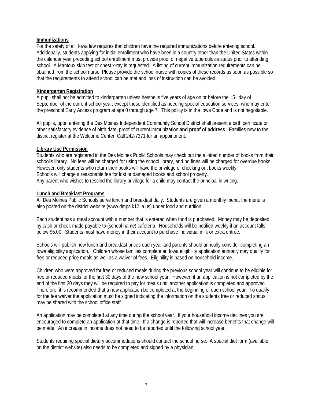#### **Immunizations**

For the safety of all, Iowa law requires that children have the required immunizations before entering school. Additionally, students applying for initial enrollment who have been in a country other than the United States within the calendar year preceding school enrollment must provide proof of negative tuberculosis status prior to attending school. A Mantoux skin test or chest x-ray is requested. A listing of current immunization requirements can be obtained from the school nurse. Please provide the school nurse with copies of these records as soon as possible so that the requirements to attend school can be met and loss of instruction can be avoided.

#### **Kindergarten Registration**

A pupil shall not be admitted to kindergarten unless he/she is five years of age on or before the 15th day of September of the current school year, except those identified as needing special education services, who may enter the preschool Early Access program at age 0 through age 7. This policy is in the Iowa Code and is not negotiable.

All pupils, upon entering the Des Moines Independent Community School District shall present a birth certificate or other satisfactory evidence of birth date, proof of current immunization **and proof of address**. Families new to the district register at the Welcome Center. Call 242-7371 for an appointment.

#### **Library Use Permission**

Students who are registered in the Des Moines Public Schools may check out the allotted number of books from their school's library. No fees will be charged for using the school library, and no fines will be charged for overdue books. However, only students who return their books will have the privilege of checking out books weekly. Schools will charge a reasonable fee for lost or damaged books and school property. Any parent who wishes to rescind the library privilege for a child may contact the principal in writing.

#### **Lunch and Breakfast Programs**

All Des Moines Public Schools serve lunch and breakfast daily. Students are given a monthly menu, the menu is also posted on the district website (www.dmps.k12.ia.us) under food and nutrition.

Each student has a meal account with a number that is entered when food is purchased. Money may be deposited by cash or check made payable to (school name) cafeteria. Households will be notified weekly if an account falls below \$5.00. Students must have money in their account to purchase individual milk or extra entrée.

Schools will publish new lunch and breakfast prices each year and parents should annually consider completing an Iowa eligibility application. Children whose families complete an Iowa eligibility application annually may qualify for free or reduced price meals as well as a waiver of fees. Eligibility is based on household income.

Children who were approved for free or reduced meals during the previous school year will continue to be eligible for free or reduced meals for the first 30 days of the new school year. However, if an application is not completed by the end of the first 30 days they will be required to pay for meals until another application is completed and approved. Therefore, it is recommended that a new application be completed at the beginning of each school year. To qualify for the fee waiver the application must be signed indicating the information on the students free or reduced status may be shared with the school office staff.

An application may be completed at any time during the school year. If your household income declines you are encouraged to complete an application at that time. If a change is reported that will increase benefits that change will be made. An increase in income does not need to be reported until the following school year.

Students requiring special dietary accommodations should contact the school nurse. A special diet form (available on the district website) also needs to be completed and signed by a physician.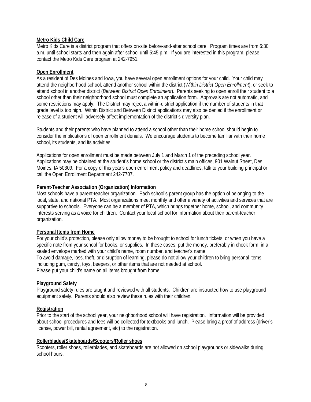#### **Metro Kids Child Care**

Metro Kids Care is a district program that offers on-site before-and-after school care. Program times are from 6:30 a.m. until school starts and then again after school until 5:45 p.m. If you are interested in this program, please contact the Metro Kids Care program at 242-7951.

#### **Open Enrollment**

As a resident of Des Moines and Iowa, you have several open enrollment options for your child. Your child may attend the neighborhood school, attend another school within the district (*Within District Open Enrollment*), or seek to attend school in another district (*Between District Open Enrollment*). Parents seeking to open enroll their student to a school other than their neighborhood school must complete an application form. Approvals are not automatic, and some restrictions may apply. The District may reject a within-district application if the number of students in that grade level is too high. Within District and Between District applications may also be denied if the enrollment or release of a student will adversely affect implementation of the district's diversity plan.

Students and their parents who have planned to attend a school other than their home school should begin to consider the implications of open enrollment denials. We encourage students to become familiar with their home school, its students, and its activities.

Applications for open enrollment must be made between July 1 and March 1 of the preceding school year. Applications may be obtained at the student's home school or the district's main offices, 901 Walnut Street, Des Moines, IA 50309. For a copy of this year's open enrollment policy and deadlines, talk to your building principal or call the Open Enrollment Department 242-7707.

#### **Parent-Teacher Association (Organization) Information**

Most schools have a parent-teacher organization. Each school's parent group has the option of belonging to the local, state, and national PTA. Most organizations meet monthly and offer a variety of activities and services that are supportive to schools. Everyone can be a member of PTA, which brings together home, school, and community interests serving as a voice for children. Contact your local school for information about their parent-teacher organization.

#### **Personal Items from Home**

For your child's protection, please only allow money to be brought to school for lunch tickets, or when you have a specific note from your school for books, or supplies. In these cases, put the money, preferably in check form, in a sealed envelope marked with your child's name, room number, and teacher's name.

To avoid damage, loss, theft, or disruption of learning, please do not allow your children to bring personal items including gum, candy, toys, beepers, or other items that are not needed at school. Please put your child's name on all items brought from home.

#### **Playground Safety**

Playground safety rules are taught and reviewed with all students. Children are instructed how to use playground equipment safely. Parents should also review these rules with their children.

#### **Registration**

Prior to the start of the school year, your neighborhood school will have registration. Information will be provided about school procedures and fees will be collected for textbooks and lunch. Please bring a proof of address (driver's license, power bill, rental agreement, etc**)** to the registration.

#### **Rollerblades/Skateboards/Scooters/Roller shoes**

Scooters, roller shoes, rollerblades, and skateboards are not allowed on school playgrounds or sidewalks during school hours.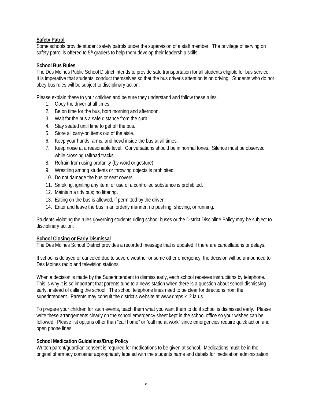#### **Safety Patrol**

Some schools provide student safety patrols under the supervision of a staff member. The privilege of serving on safety patrol is offered to 5<sup>th</sup> graders to help them develop their leadership skills.

#### **School Bus Rules**

The Des Moines Public School District intends to provide safe transportation for all students eligible for bus service. It is imperative that students' conduct themselves so that the bus driver's attention is on driving. Students who do not obey bus rules will be subject to disciplinary action.

Please explain these to your children and be sure they understand and follow these rules.

- 1. Obey the driver at all times.
- 2. Be on time for the bus, both morning and afternoon.
- 3. Wait for the bus a safe distance from the curb.
- 4. Stay seated until time to get off the bus.
- 5. Store all carry-on items out of the aisle.
- 6. Keep your hands, arms, and head inside the bus at all times.
- 7. Keep noise at a reasonable level. Conversations should be in normal tones. Silence must be observed while crossing railroad tracks.
- 8. Refrain from using profanity (by word or gesture).
- 9. Wrestling among students or throwing objects is prohibited.
- 10. Do not damage the bus or seat covers.
- 11. Smoking, igniting any item, or use of a controlled substance is prohibited.
- 12. Maintain a tidy bus; no littering.
- 13. Eating on the bus is allowed, if permitted by the driver.
- 14. Enter and leave the bus in an orderly manner; no pushing, shoving, or running.

Students violating the rules governing students riding school buses or the District Discipline Policy may be subject to disciplinary action:

#### **School Closing or Early Dismissal**

The Des Moines School District provides a recorded message that is updated if there are cancellations or delays.

If school is delayed or canceled due to severe weather or some other emergency, the decision will be announced to Des Moines radio and television stations.

When a decision is made by the Superintendent to dismiss early, each school receives instructions by telephone. This is why it is so important that parents tune to a news station when there is a question about school dismissing early, instead of calling the school. The school telephone lines need to be clear for directions from the superintendent. Parents may consult the district's website at www.dmps.k12.ia.us.

To prepare your children for such events, teach them what you want them to do if school is dismissed early. Please write these arrangements clearly on the school emergency sheet kept in the school office so your wishes can be followed. Please list options other than "call home" or "call me at work" since emergencies require quick action and open phone lines.

#### **School Medication Guidelines/Drug Policy**

Written parent/guardian consent is required for medications to be given at school. Medications must be in the original pharmacy container appropriately labeled with the students name and details for medication administration.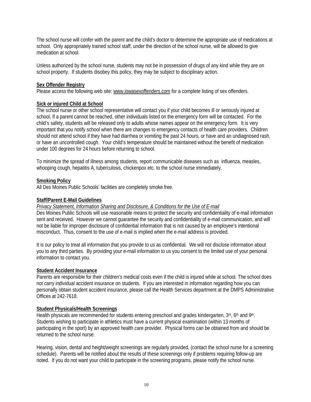The school nurse will confer with the parent and the child's doctor to determine the appropriate use of medications at school. Only appropriately trained school staff, under the direction of the school nurse, will be allowed to give medication at school.

Unless authorized by the school nurse, students may not be in possession of drugs of any kind while they are on school property. If students disobey this policy, they may be subject to disciplinary action.

#### **Sex Offender Registry**

Please access the following web site: www.iowasexoffenders.com for a complete listing of sex offenders.

#### **Sick or injured Child at School**

The school nurse or other school representative will contact you if your child becomes ill or seriously injured at school. If a parent cannot be reached, other individuals listed on the emergency form will be contacted. For the child's safety, students will be released only to adults whose names appear on the emergency form. It is very important that you notify school when there are changes to emergency contacts of health care providers. Children should not attend school if they have had diarrhea or vomiting the past 24 hours, or have and an undiagnosed rash, or have an uncontrolled cough. Your child's temperature should be maintained without the benefit of medication under 100 degrees for 24 hours before returning to school.

To minimize the spread of illness among students, report communicable diseases such as influenza, measles, whooping cough, hepatitis A, tuberculosis, chickenpox etc. to the school nurse immediately.

#### **Smoking Policy**

All Des Moines Public Schools' facilities are completely smoke free.

#### **Staff/Parent E-Mail Guidelines**

#### *Privacy Statement, Information Sharing and Disclosure, & Conditions for the Use of E-mail*

Des Moines Public Schools will use reasonable means to protect the security and confidentiality of e-mail information sent and received. However we cannot guarantee the security and confidentiality of e-mail communication, and will not be liable for improper disclosure of confidential information that is not caused by an employee's intentional misconduct. Thus, consent to the use of e-mail is implied when the e-mail address is provided.

It is our policy to treat all information that you provide to us as confidential. We will not disclose information about you to any third parties. By providing your e-mail information to us you consent to the limited use of your personal information to contact you.

#### **Student Accident Insurance**

Parents are responsible for their children's medical costs even if the child is injured while at school. The school does not carry individual accident insurance on students. If you are interested in information regarding how you can personally obtain student accident insurance, please call the Health Services department at the DMPS Administrative Offices at 242-7618.

#### **Student Physicals/Health Screenings**

Health physicals are recommended for students entering preschool and grades kindergarten, 3rd, 6th and 9th. Students wishing to participate in athletics must have a current physical examination (within 13 months of participating in the sport) by an approved health care provider. Physical forms can be obtained from and should be returned to the school nurse.

Hearing, vision, dental and height/weight screenings are regularly provided, (contact the school nurse for a screening schedule). Parents will be notified about the results of these screenings only if problems requiring follow-up are noted. If you do not want your child to participate in the screening programs, please notify the school nurse.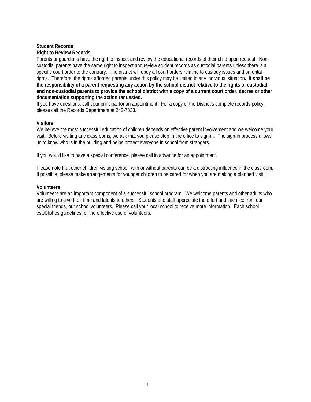#### **Student Records Right to Review Records**

Parents or guardians have the right to inspect and review the educational records of their child upon request. Noncustodial parents have the same right to inspect and review student records as custodial parents unless there is a specific court order to the contrary. The district will obey all court orders relating to custody issues and parental rights. Therefore, the rights afforded parents under this policy may be limited in any individual situation**. It shall be the responsibility of a parent requesting any action by the school district relative to the rights of custodial and non-custodial parents to provide the school district with a copy of a current court order, decree or other documentation supporting the action requested.**

If you have questions, call your principal for an appointment. For a copy of the District's complete records policy, please call the Records Department at 242-7833.

#### **Visitors**

We believe the most successful education of children depends on effective parent involvement and we welcome your visit. Before visiting any classrooms, we ask that you please stop in the office to sign-in. The sign-in process allows us to know who is in the building and helps protect everyone in school from strangers.

If you would like to have a special conference, please call in advance for an appointment.

Please note that other children visiting school, with or without parents can be a distracting influence in the classroom. If possible, please make arrangements for younger children to be cared for when you are making a planned visit.

#### **Volunteers**

Volunteers are an important component of a successful school program. We welcome parents and other adults who are willing to give their time and talents to others. Students and staff appreciate the effort and sacrifice from our special friends, our school volunteers. Please call your local school to receive more information. Each school establishes guidelines for the effective use of volunteers.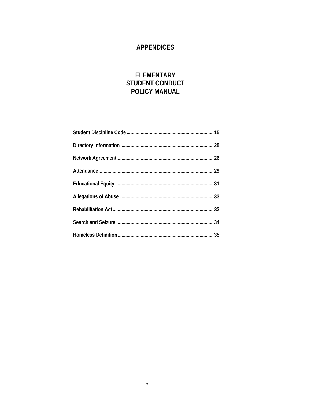# **APPENDICES**

# **ELEMENTARY** STUDENT CONDUCT POLICY MANUAL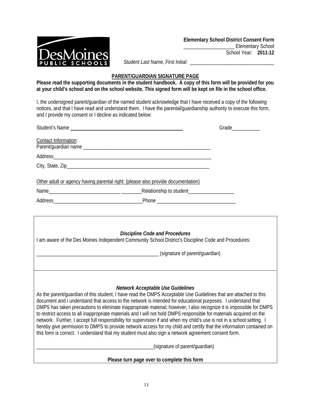

*Student Last Name, First Initial*: \_\_\_\_\_\_\_\_\_\_\_\_\_\_\_\_\_\_\_\_\_\_\_\_\_\_\_\_\_\_\_\_\_

#### **PARENT/GUARDIAN SIGNATURE PAGE**

**Please read the supporting documents in the student handbook. A copy of this form will be provided for you at your child's school and on the school website. This signed form will be kept on file in the school office.** 

I, the undersigned parent/guardian of the named student acknowledge that I have received a copy of the following notices, and that I have read and understand them. I have the parental/guardianship authority to execute this form, and I provide my consent or I decline as indicated below:

| Student's Name and the student's Name                                                                                                                                                                                                          |                                |  |  |  |
|------------------------------------------------------------------------------------------------------------------------------------------------------------------------------------------------------------------------------------------------|--------------------------------|--|--|--|
| Contact Information:                                                                                                                                                                                                                           |                                |  |  |  |
|                                                                                                                                                                                                                                                |                                |  |  |  |
|                                                                                                                                                                                                                                                |                                |  |  |  |
|                                                                                                                                                                                                                                                |                                |  |  |  |
|                                                                                                                                                                                                                                                |                                |  |  |  |
| Other adult or agency having parental right: (please also provide documentation)                                                                                                                                                               |                                |  |  |  |
|                                                                                                                                                                                                                                                |                                |  |  |  |
|                                                                                                                                                                                                                                                |                                |  |  |  |
|                                                                                                                                                                                                                                                |                                |  |  |  |
|                                                                                                                                                                                                                                                |                                |  |  |  |
|                                                                                                                                                                                                                                                |                                |  |  |  |
| <b>Discipline Code and Procedures</b><br>I am aware of the Des Moines Independent Community School District's Discipline Code and Procedures:                                                                                                  |                                |  |  |  |
|                                                                                                                                                                                                                                                |                                |  |  |  |
| (signature of parent/quardian)                                                                                                                                                                                                                 |                                |  |  |  |
|                                                                                                                                                                                                                                                |                                |  |  |  |
|                                                                                                                                                                                                                                                |                                |  |  |  |
|                                                                                                                                                                                                                                                |                                |  |  |  |
| Network Acceptable Use Guidelines<br>As the parent/quardian of this student, I have read the DMPS Acceptable Use Guidelines that are attached to this                                                                                          |                                |  |  |  |
| document and I understand that access to the network is intended for educational purposes. I understand that                                                                                                                                   |                                |  |  |  |
| DMPS has taken precautions to eliminate inappropriate material; however, I also recognize it is impossible for DMPS                                                                                                                            |                                |  |  |  |
| to restrict access to all inappropriate materials and I will not hold DMPS responsible for materials acquired on the                                                                                                                           |                                |  |  |  |
| network. Further, I accept full responsibility for supervision if and when my child's use is not in a school setting. I<br>hereby give permission to DMPS to provide network access for my child and certify that the information contained on |                                |  |  |  |
| this form is correct. I understand that my student must also sign a network agreement consent form.                                                                                                                                            |                                |  |  |  |
|                                                                                                                                                                                                                                                |                                |  |  |  |
|                                                                                                                                                                                                                                                | (signature of parent/guardian) |  |  |  |
| Please turn page over to complete this form                                                                                                                                                                                                    |                                |  |  |  |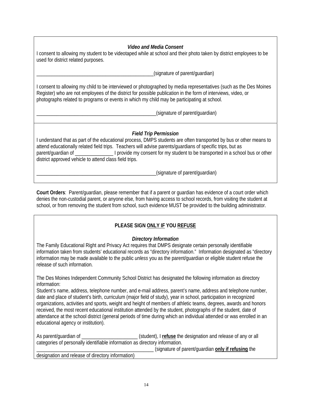# *Video and Media Consent*

I consent to allowing my student to be videotaped while at school and their photo taken by district employees to be used for district related purposes.

\_\_\_\_\_\_\_\_\_\_\_\_\_\_\_\_\_\_\_\_\_\_\_\_\_\_\_\_\_\_\_\_\_\_\_\_\_\_\_\_\_\_\_\_\_\_(signature of parent/guardian)

I consent to allowing my child to be interviewed or photographed by media representatives (such as the Des Moines Register) who are not employees of the district for possible publication in the form of interviews, video, or photographs related to programs or events in which my child may be participating at school.

\_\_\_\_\_\_\_\_\_\_\_\_\_\_\_\_\_\_\_\_\_\_\_\_\_\_\_\_\_\_\_\_\_\_\_\_\_\_\_\_\_\_\_\_\_\_\_(signature of parent/guardian)

#### *Field Trip Permission*

I understand that as part of the educational process, DMPS students are often transported by bus or other means to attend educationally related field trips. Teachers will advise parents/guardians of specific trips, but as parent/guardian of  $\Box$  I provide my consent for my student to be transported in a school bus or other district approved vehicle to attend class field trips.

(signature of parent/guardian)

**Court Orders**: Parent/guardian, please remember that if a parent or guardian has evidence of a court order which denies the non-custodial parent, or anyone else, from having access to school records, from visiting the student at school, or from removing the student from school, such evidence MUST be provided to the building administrator.

# **PLEASE SIGN ONLY IF YOU REFUSE**

#### *Directory Information*

The Family Educational Right and Privacy Act requires that DMPS designate certain personally identifiable information taken from students' educational records as "directory information." Information designated as "directory information may be made available to the public *unless* you as the parent/guardian or eligible student refuse the release of such information.

The Des Moines Independent Community School District has designated the following information as directory information:

Student's name, address, telephone number, and e-mail address, parent's name, address and telephone number, date and place of student's birth, curriculum (major field of study), year in school, participation in recognized organizations, activities and sports, weight and height of members of athletic teams, degrees, awards and honors received, the most recent educational institution attended by the student, photographs of the student, date of attendance at the school district (general periods of time during which an individual attended or was enrolled in an educational agency or institution).

As parent/guardian of **Example 20** (student), I refuse the designation and release of any or all categories of personally identifiable information as directory information. \_\_\_\_\_\_\_\_\_\_\_\_\_\_\_\_\_\_\_\_\_\_\_\_\_\_\_\_\_\_\_\_\_\_\_\_\_\_\_\_\_\_\_\_\_\_ (signature of parent/guardian **only if refusing** the

designation and release of directory information)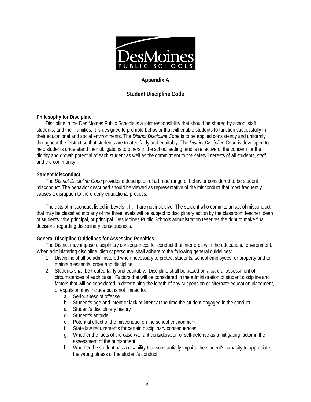

# **Appendix A**

# **Student Discipline Code**

#### **Philosophy for Discipline**

Discipline in the Des Moines Public Schools is a joint responsibility that should be shared by school staff, students, and their families. It is designed to promote behavior that will enable students to function successfully in their educational and social environments. The *District Discipline Code* is to be applied consistently and uniformly throughout the District so that students are treated fairly and equitably. The *District Discipline Code* is developed to help students understand their obligations to others in the school setting, and is reflective of the concern for the dignity and growth potential of each student as well as the commitment to the safety interests of all students, staff and the community.

#### **Student Misconduct**

The *District Discipline Code* provides a description of a broad range of behavior considered to be student misconduct. The behavior described should be viewed as representative of the misconduct that most frequently causes a disruption to the orderly educational process.

The acts of misconduct listed in Levels I, II, III are not inclusive. The student who commits an act of misconduct that may be classified into any of the three levels will be subject to disciplinary action by the classroom teacher, dean of students, vice principal, or principal. Des Moines Public Schools administration reserves the right to make final decisions regarding disciplinary consequences.

#### **General Discipline Guidelines for Assessing Penalties**

The District may impose disciplinary consequences for conduct that interferes with the educational environment. When administering discipline, district personnel shall adhere to the following general guidelines:

- 1. Discipline shall be administered when necessary to protect students, school employees, or property and to maintain essential order and discipline.
- 2. Students shall be treated fairly and equitably. Discipline shall be based on a careful assessment of circumstances of each case. Factors that will be considered in the administration of student discipline and factors that will be considered in determining the length of any suspension or alternate education placement, or expulsion may include but is not limited to:
	- a. Seriousness of offense
	- b. Student's age and intent or lack of intent at the time the student engaged in the conduct
	- c. Student's disciplinary history
	- d. Student's attitude
	- e. Potential effect of the misconduct on the school environment
	- f. State law requirements for certain disciplinary consequences
	- g. Whether the facts of the case warrant consideration of self-defense as a mitigating factor in the assessment of the punishment
	- h. Whether the student has a disability that substantially impairs the student's capacity to appreciate the wrongfulness of the student's conduct.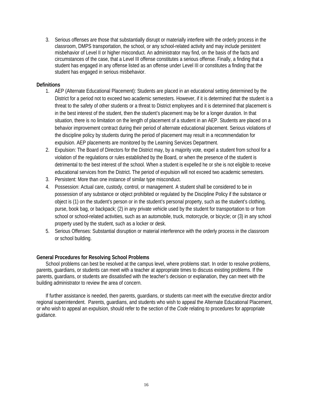3. Serious offenses are those that substantially disrupt or materially interfere with the orderly process in the classroom, DMPS transportation, the school, or any school-related activity and may include persistent misbehavior of Level II or higher misconduct. An administrator may find, on the basis of the facts and circumstances of the case, that a Level III offense constitutes a serious offense. Finally, a finding that a student has engaged in any offense listed as an offense under Level III or constitutes a finding that the student has engaged in serious misbehavior.

#### **Definitions**

- 1. AEP (Alternate Educational Placement): Students are placed in an educational setting determined by the District for a period not to exceed two academic semesters. However, if it is determined that the student is a threat to the safety of other students or a threat to District employees and it is determined that placement is in the best interest of the student, then the student's placement may be for a longer duration. In that situation, there is no limitation on the length of placement of a student in an AEP. Students are placed on a behavior improvement contract during their period of alternate educational placement. Serious violations of the discipline policy by students during the period of placement may result in a recommendation for expulsion. AEP placements are monitored by the Learning Services Department.
- 2. Expulsion: The Board of Directors for the District may, by a majority vote, expel a student from school for a violation of the regulations or rules established by the Board, or when the presence of the student is detrimental to the best interest of the school. When a student is expelled he or she is not eligible to receive educational services from the District. The period of expulsion will not exceed two academic semesters.
- 3. Persistent: More than one instance of similar type misconduct.
- 4. Possession: Actual care, custody, control, or management. A student shall be considered to be in possession of any substance or object prohibited or regulated by the Discipline Policy if the substance or object is (1) on the student's person or in the student's personal property, such as the student's clothing, purse, book bag, or backpack; (2) in any private vehicle used by the student for transportation to or from school or school-related activities, such as an automobile, truck, motorcycle, or bicycle; or (3) in any school property used by the student, such as a locker or desk.
- 5. Serious Offenses: Substantial disruption or material interference with the orderly process in the classroom or school building.

#### **General Procedures for Resolving School Problems**

School problems can best be resolved at the campus level, where problems start. In order to resolve problems, parents, guardians, or students can meet with a teacher at appropriate times to discuss existing problems. If the parents, guardians, or students are dissatisfied with the teacher's decision or explanation, they can meet with the building administrator to review the area of concern.

If further assistance is needed, then parents, guardians, or students can meet with the executive director and/or regional superintendent. Parents, guardians, and students who wish to appeal the Alternate Educational Placement, or who wish to appeal an expulsion, should refer to the section of the *Code* relating to procedures for appropriate guidance.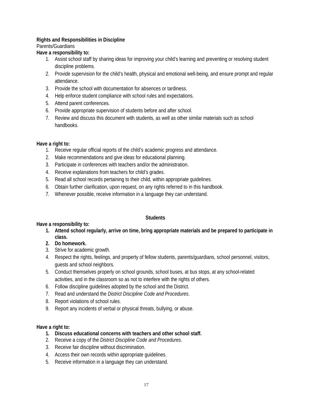## **Rights and Responsibilities in Discipline**

Parents/Guardians

#### **Have a responsibility to:**

- 1. Assist school staff by sharing ideas for improving your child's learning and preventing or resolving student discipline problems.
- 2. Provide supervision for the child's health, physical and emotional well-being, and ensure prompt and regular attendance.
- 3. Provide the school with documentation for absences or tardiness.
- 4. Help enforce student compliance with school rules and expectations.
- 5. Attend parent conferences.
- 6. Provide appropriate supervision of students before and after school.
- 7. Review and discuss this document with students, as well as other similar materials such as school handbooks.

#### **Have a right to:**

- 1. Receive regular official reports of the child's academic progress and attendance.
- 2. Make recommendations and give ideas for educational planning.
- 3. Participate in conferences with teachers and/or the administration.
- 4. Receive explanations from teachers for child's grades.
- 5. Read all school records pertaining to their child, within appropriate guidelines.
- 6. Obtain further clarification, upon request, on any rights referred to in this handbook.
- 7. Whenever possible, receive information in a language they can understand.

#### **Students**

#### **Have a responsibility to:**

- **1. Attend school regularly, arrive on time, bring appropriate materials and be prepared to participate in class.**
- **2. Do homework.**
- 3. Strive for academic growth.
- 4. Respect the rights, feelings, and property of fellow students, parents/guardians, school personnel, visitors, guests and school neighbors.
- 5. Conduct themselves properly on school grounds, school buses, at bus stops, at any school-related activities, and in the classroom so as not to interfere with the rights of others.
- 6. Follow discipline guidelines adopted by the school and the District.
- 7. Read and understand the *District Discipline Code and Procedures*.
- 8. Report violations of school rules.
- 9. Report any incidents of verbal or physical threats, bullying, or abuse.

#### **Have a right to:**

- **1. Discuss educational concerns with teachers and other school staff.**
- 2. Receive a copy of the *District Discipline Code and Procedures*.
- 3. Receive fair discipline without discrimination.
- 4. Access their own records within appropriate guidelines.
- 5. Receive information in a language they can understand.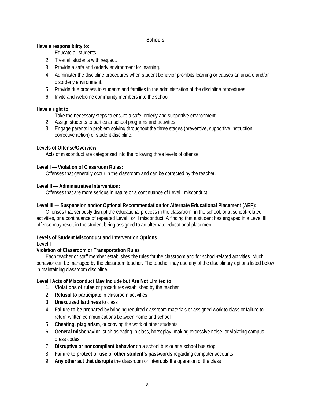#### **Schools**

#### **Have a responsibility to:**

- 1. Educate all students.
- 2. Treat all students with respect.
- 3. Provide a safe and orderly environment for learning.
- 4. Administer the discipline procedures when student behavior prohibits learning or causes an unsafe and/or disorderly environment.
- 5. Provide due process to students and families in the administration of the discipline procedures.
- 6. Invite and welcome community members into the school.

#### **Have a right to:**

- 1. Take the necessary steps to ensure a safe, orderly and supportive environment.
- 2. Assign students to particular school programs and activities.
- 3. Engage parents in problem solving throughout the three stages (preventive, supportive instruction, corrective action) of student discipline.

#### **Levels of Offense/Overview**

Acts of misconduct are categorized into the following three levels of offense:

#### **Level I — Violation of Classroom Rules:**

Offenses that generally occur in the classroom and can be corrected by the teacher.

#### **Level II — Administrative Intervention:**

Offenses that are more serious in nature or a continuance of Level I misconduct.

#### Level III — Suspension and/or Optional Recommendation for Alternate Educational Placement (AEP):

Offenses that seriously disrupt the educational process in the classroom, in the school, or at school-related activities, or a continuance of repeated Level I or II misconduct. A finding that a student has engaged in a Level III offense may result in the student being assigned to an alternate educational placement.

#### **Levels of Student Misconduct and Intervention Options**

#### **Level I**

#### **Violation of Classroom or Transportation Rules**

Each teacher or staff member establishes the rules for the classroom and for school-related activities. Much behavior can be managed by the classroom teacher. The teacher may use any of the disciplinary options listed below in maintaining classroom discipline.

#### **Level I Acts of Misconduct May Include but Are Not Limited to:**

- **1. Violations of rules** or procedures established by the teacher
- 2. **Refusal to participate** in classroom activities
- 3. **Unexcused tardiness** to class
- 4. **Failure to be prepared** by bringing required classroom materials or assigned work to class or failure to return written communications between home and school
- 5. **Cheating, plagiarism**, or copying the work of other students
- 6. **General misbehavior**, such as eating in class, horseplay, making excessive noise, or violating campus dress codes
- 7. **Disruptive or noncompliant behavior** on a school bus or at a school bus stop
- 8. **Failure to protect or use of other student's passwords** regarding computer accounts
- 9. **Any other act that disrupts** the classroom or interrupts the operation of the class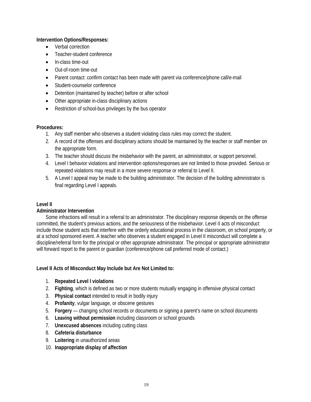#### **Intervention Options/Responses:**

- Verbal correction
- Teacher-student conference
- In-class time-out
- Out-of-room time-out
- Parent contact: confirm contact has been made with parent via conference/phone call/e-mail
- Student-counselor conference
- Detention (maintained by teacher) before or after school
- Other appropriate in-class disciplinary actions
- Restriction of school-bus privileges by the bus operator

#### **Procedures:**

- 1. Any staff member who observes a student violating class rules may correct the student.
- 2. A record of the offenses and disciplinary actions should be maintained by the teacher or staff member on the appropriate form.
- 3. The teacher should discuss the misbehavior with the parent, an administrator, or support personnel.
- 4. Level I behavior violations and intervention options/responses are not limited to those provided. Serious or repeated violations may result in a more severe response or referral to Level II.
- 5. A Level I appeal may be made to the building administrator. The decision of the building administrator is final regarding Level I appeals.

#### **Level II**

#### **Administrator Intervention**

Some infractions will result in a referral to an administrator. The disciplinary response depends on the offense committed, the student's previous actions, and the seriousness of the misbehavior. Level II acts of misconduct include those student acts that interfere with the orderly educational process in the classroom, on school property, or at a school sponsored event. A teacher who observes a student engaged in Level II misconduct will complete a discipline/referral form for the principal or other appropriate administrator. The principal or appropriate administrator will forward report to the parent or guardian (conference/phone call preferred mode of contact.)

#### **Level II Acts of Misconduct May Include but Are Not Limited to:**

- 1. **Repeated Level I violations**
- 2. **Fighting**, which is defined as two or more students mutually engaging in offensive physical contact
- 3. **Physical contact** intended to result in bodily injury
- 4. **Profanity**, vulgar language, or obscene gestures
- 5. **Forgery**  changing school records or documents or signing a parent's name on school documents
- 6. **Leaving without permission** including classroom or school grounds
- 7. **Unexcused absences** including cutting class
- 8. **Cafeteria disturbance**
- 9. **Loitering** in unauthorized areas
- 10. **Inappropriate display of affection**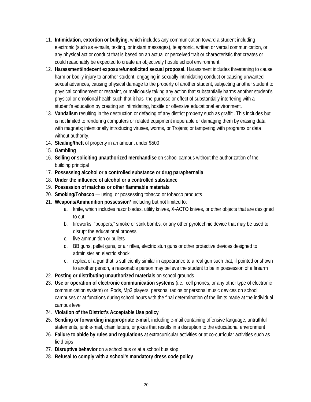- 11. **Intimidation, extortion or bullying**, which includes any communication toward a student including electronic (such as e-mails, texting, or instant messages), telephonic, written or verbal communication, or any physical act or conduct that is based on an actual or perceived trait or characteristic that creates or could reasonably be expected to create an objectively hostile school environment.
- 12. **Harassment/Indecent exposure/unsolicited sexual proposal.** Harassment includes threatening to cause harm or bodily injury to another student, engaging in sexually intimidating conduct or causing unwanted sexual advances, causing physical damage to the property of another student, subjecting another student to physical confinement or restraint, or maliciously taking any action that substantially harms another student's physical or emotional health such that it has the purpose or effect of substantially interfering with a student's education by creating an intimidating, hostile or offensive educational environment.
- 13. **Vandalism** resulting in the destruction or defacing of any district property such as graffiti. This includes but is not limited to rendering computers or related equipment inoperable or damaging them by erasing data with magnets; intentionally introducing viruses, worms, or Trojans; or tampering with programs or data without authority.
- 14. **Stealing/theft** of property in an amount under \$500
- 15. **Gambling**
- 16. **Selling or soliciting unauthorized merchandise** on school campus without the authorization of the building principal
- 17. **Possessing alcohol or a controlled substance or drug paraphernalia**
- 18. **Under the influence of alcohol or a controlled substance**
- 19. **Possession of matches or other flammable materials**
- 20. **Smoking/Tobacco**  using, or possessing tobacco or tobacco products
- 21. **Weapons/Ammunition possession\*** including but not limited to:
	- a. knife, which includes razor blades, utility knives, X-ACTO knives, or other objects that are designed to cut
	- b. fireworks, "poppers," smoke or stink bombs, or any other pyrotechnic device that may be used to disrupt the educational process
	- c. live ammunition or bullets
	- d. BB guns, pellet guns, or air rifles, electric stun guns or other protective devices designed to administer an electric shock
	- e. replica of a gun that is sufficiently similar in appearance to a real gun such that, if pointed or shown to another person, a reasonable person may believe the student to be in possession of a firearm
- 22. **Posting or distributing unauthorized materials** on school grounds
- 23. **Use or operation of electronic communication systems** (i.e., cell phones, or any other type of electronic communication system) or iPods, Mp3 players, personal radios or personal music devices on school campuses or at functions during school hours with the final determination of the limits made at the individual campus level
- 24. **Violation of the District's Acceptable Use policy**
- 25. **Sending or forwarding inappropriate e-mail**, including e-mail containing offensive language, untruthful statements, junk e-mail, chain letters, or jokes that results in a disruption to the educational environment
- 26. **Failure to abide by rules and regulations** at extracurricular activities or at co-curricular activities such as field trips
- 27. **Disruptive behavior** on a school bus or at a school bus stop
- 28. **Refusal to comply with a school's mandatory dress code policy**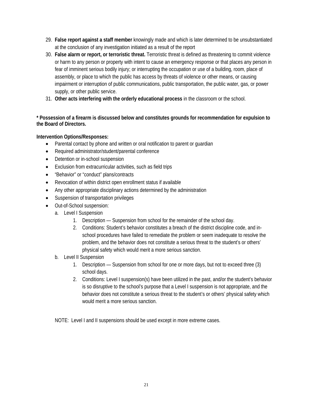- 29. **False report against a staff member** knowingly made and which is later determined to be unsubstantiated at the conclusion of any investigation initiated as a result of the report
- 30. **False alarm or report, or terroristic threat.** Terroristic threat is defined as threatening to commit violence or harm to any person or property with intent to cause an emergency response or that places any person in fear of imminent serious bodily injury; or interrupting the occupation or use of a building, room, place of assembly, or place to which the public has access by threats of violence or other means, or causing impairment or interruption of public communications, public transportation, the public water, gas, or power supply, or other public service.
- 31. **Other acts interfering with the orderly educational process** in the classroom or the school.

# **\* Possession of a firearm is discussed below and constitutes grounds for recommendation for expulsion to the Board of Directors.**

# **Intervention Options/Responses:**

- Parental contact by phone and written or oral notification to parent or quardian
- Required administrator/student/parental conference
- Detention or in-school suspension
- Exclusion from extracurricular activities, such as field trips
- "Behavior" or "conduct" plans/contracts
- Revocation of within district open enrollment status if available
- Any other appropriate disciplinary actions determined by the administration
- Suspension of transportation privileges
- Out-of-School suspension:
	- a. Level I Suspension
		- 1. Description Suspension from school for the remainder of the school day.
		- 2. Conditions: Student's behavior constitutes a breach of the district discipline code, and inschool procedures have failed to remediate the problem or seem inadequate to resolve the problem, and the behavior does not constitute a serious threat to the student's or others' physical safety which would merit a more serious sanction.
	- b. Level II Suspension
		- 1. Description Suspension from school for one or more days, but not to exceed three (3) school days.
		- 2. Conditions: Level I suspension(s) have been utilized in the past, and/or the student's behavior is so disruptive to the school's purpose that a Level I suspension is not appropriate, and the behavior does not constitute a serious threat to the student's or others' physical safety which would merit a more serious sanction.

NOTE: Level I and II suspensions should be used except in more extreme cases.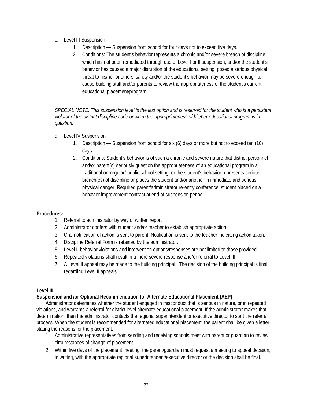- c. Level III Suspension
	- 1. Description Suspension from school for four days not to exceed five days.
	- 2. Conditions: The student's behavior represents a chronic and/or severe breach of discipline, which has not been remediated through use of Level I or II suspension, and/or the student's behavior has caused a major disruption of the educational setting, posed a serious physical threat to his/her or others' safety and/or the student's behavior may be severe enough to cause building staff and/or parents to review the appropriateness of the student's current educational placement/program.

*SPECIAL NOTE: This suspension level is the last option and is reserved for the student who is a persistent violator of the district discipline code or when the appropriateness of his/her educational program is in question.* 

- d. Level IV Suspension
	- 1. Description Suspension from school for six (6) days or more but not to exceed ten (10) days.
	- 2. Conditions: Student's behavior is of such a chronic and severe nature that district personnel and/or parent(s) seriously question the appropriateness of an educational program in a traditional or "regular" public school setting, or the student's behavior represents serious breach(es) of discipline or places the student and/or another in immediate and serious physical danger. Required parent/administrator re-entry conference; student placed on a behavior improvement contract at end of suspension period.

#### **Procedures:**

- 1. Referral to administrator by way of written report
- 2. Administrator confers with student and/or teacher to establish appropriate action.
- 3. Oral notification of action is sent to parent. Notification is sent to the teacher indicating action taken.
- 4. Discipline Referral Form is retained by the administrator.
- 5. Level II behavior violations and intervention options/responses are not limited to those provided.
- 6. Repeated violations shall result in a more severe response and/or referral to Level III.
- 7. A Level II appeal may be made to the building principal. The decision of the building principal is final regarding Level II appeals.

#### **Level III**

#### **Suspension and /or Optional Recommendation for Alternate Educational Placement (AEP)**

Administrator determines whether the student engaged in misconduct that is serious in nature, or in repeated violations, and warrants a referral for district level alternate educational placement. If the administrator makes that determination, then the administrator contacts the regional superintendent or executive director to start the referral process. When the student is recommended for alternated educational placement, the parent shall be given a letter stating the reasons for the placement.

- 1. Administrative representatives from sending and receiving schools meet with parent or guardian to review circumstances of change of placement.
- 2. Within five days of the placement meeting, the parent/guardian must request a meeting to appeal decision, in writing, with the appropriate regional superintendent/executive director or the decision shall be final.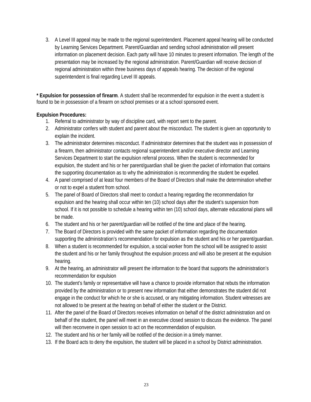3. A Level III appeal may be made to the regional superintendent. Placement appeal hearing will be conducted by Learning Services Department. Parent/Guardian and sending school administration will present information on placement decision. Each party will have 10 minutes to present information. The length of the presentation may be increased by the regional administration. Parent/Guardian will receive decision of regional administration within three business days of appeals hearing. The decision of the regional superintendent is final regarding Level III appeals.

**\* Expulsion for possession of firearm**. A student shall be recommended for expulsion in the event a student is found to be in possession of a firearm on school premises or at a school sponsored event.

## **Expulsion Procedures:**

- 1. Referral to administrator by way of discipline card, with report sent to the parent.
- 2. Administrator confers with student and parent about the misconduct. The student is given an opportunity to explain the incident.
- 3. The administrator determines misconduct. If administrator determines that the student was in possession of a firearm, then administrator contacts regional superintendent and/or executive director and Learning Services Department to start the expulsion referral process. When the student is recommended for expulsion, the student and his or her parent/guardian shall be given the packet of information that contains the supporting documentation as to why the administration is recommending the student be expelled.
- 4. A panel comprised of at least four members of the Board of Directors shall make the determination whether or not to expel a student from school.
- 5. The panel of Board of Directors shall meet to conduct a hearing regarding the recommendation for expulsion and the hearing shall occur within ten (10) school days after the student's suspension from school. If it is not possible to schedule a hearing within ten (10) school days, alternate educational plans will be made.
- 6. The student and his or her parent/guardian will be notified of the time and place of the hearing.
- 7. The Board of Directors is provided with the same packet of information regarding the documentation supporting the administration's recommendation for expulsion as the student and his or her parent/guardian.
- 8. When a student is recommended for expulsion, a social worker from the school will be assigned to assist the student and his or her family throughout the expulsion process and will also be present at the expulsion hearing.
- 9. At the hearing, an administrator will present the information to the board that supports the administration's recommendation for expulsion
- 10. The student's family or representative will have a chance to provide information that rebuts the information provided by the administration or to present new information that either demonstrates the student did not engage in the conduct for which he or she is accused, or any mitigating information. Student witnesses are not allowed to be present at the hearing on behalf of either the student or the District.
- 11. After the panel of the Board of Directors receives information on behalf of the district administration and on behalf of the student, the panel will meet in an executive closed session to discuss the evidence. The panel will then reconvene in open session to act on the recommendation of expulsion.
- 12. The student and his or her family will be notified of the decision in a timely manner.
- 13. If the Board acts to deny the expulsion, the student will be placed in a school by District administration.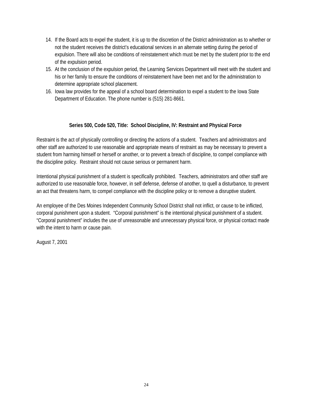- 14. If the Board acts to expel the student, it is up to the discretion of the District administration as to whether or not the student receives the district's educational services in an alternate setting during the period of expulsion. There will also be conditions of reinstatement which must be met by the student prior to the end of the expulsion period.
- 15. At the conclusion of the expulsion period, the Learning Services Department will meet with the student and his or her family to ensure the conditions of reinstatement have been met and for the administration to determine appropriate school placement.
- 16. Iowa law provides for the appeal of a school board determination to expel a student to the Iowa State Department of Education. The phone number is (515) 281-8661.

## **Series 500, Code 520, Title: School Discipline, IV: Restraint and Physical Force**

Restraint is the act of physically controlling or directing the actions of a student. Teachers and administrators and other staff are authorized to use reasonable and appropriate means of restraint as may be necessary to prevent a student from harming himself or herself or another, or to prevent a breach of discipline, to compel compliance with the discipline policy. Restraint should not cause serious or permanent harm.

Intentional physical punishment of a student is specifically prohibited. Teachers, administrators and other staff are authorized to use reasonable force, however, in self defense, defense of another, to quell a disturbance, to prevent an act that threatens harm, to compel compliance with the discipline policy or to remove a disruptive student.

An employee of the Des Moines Independent Community School District shall not inflict, or cause to be inflicted, corporal punishment upon a student. "Corporal punishment" is the intentional physical punishment of a student. "Corporal punishment" includes the use of unreasonable and unnecessary physical force, or physical contact made with the intent to harm or cause pain.

August 7, 2001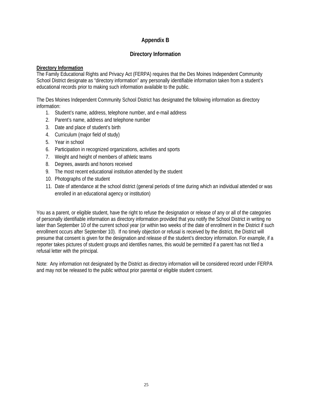# **Appendix B**

# **Directory Information**

#### **Directory Information**

The Family Educational Rights and Privacy Act (FERPA) requires that the Des Moines Independent Community School District designate as "directory information" any personally identifiable information taken from a student's educational records prior to making such information available to the public.

The Des Moines Independent Community School District has designated the following information as directory information:

- 1. Student's name, address, telephone number, and e-mail address
- 2. Parent's name, address and telephone number
- 3. Date and place of student's birth
- 4. Curriculum (major field of study)
- 5. Year in school
- 6. Participation in recognized organizations, activities and sports
- 7. Weight and height of members of athletic teams
- 8. Degrees, awards and honors received
- 9. The most recent educational institution attended by the student
- 10. Photographs of the student
- 11. Date of attendance at the school district (general periods of time during which an individual attended or was enrolled in an educational agency or institution)

You as a parent, or eligible student, have the right to refuse the designation or release of any or all of the categories of personally identifiable information as directory information provided that you notify the School District in writing no later than September 10 of the current school year (or within two weeks of the date of enrollment in the District if such enrollment occurs after September 10). If no timely objection or refusal is received by the district, the District will presume that consent is given for the designation and release of the student's directory information. For example, if a reporter takes pictures of student groups and identifies names, this would be permitted if a parent has not filed a refusal letter with the principal.

Note: Any information not designated by the District as directory information will be considered record under FERPA and may not be released to the public without prior parental or eligible student consent.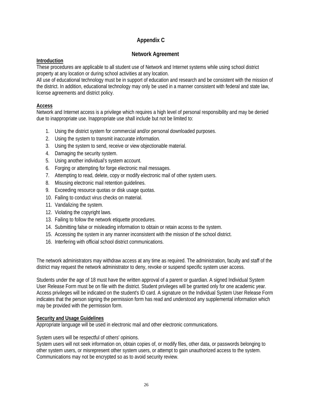# **Appendix C**

# **Network Agreement**

#### **Introduction**

These procedures are applicable to all student use of Network and Internet systems while using school district property at any location or during school activities at any location.

All use of educational technology must be in support of education and research and be consistent with the mission of the district. In addition, educational technology may only be used in a manner consistent with federal and state law, license agreements and district policy.

## **Access**

Network and Internet access is a privilege which requires a high level of personal responsibility and may be denied due to inappropriate use. Inappropriate use shall include but not be limited to:

- 1. Using the district system for commercial and/or personal downloaded purposes.
- 2. Using the system to transmit inaccurate information.
- 3. Using the system to send, receive or view objectionable material.
- 4. Damaging the security system.
- 5. Using another individual's system account.
- 6. Forging or attempting for forge electronic mail messages.
- 7. Attempting to read, delete, copy or modify electronic mail of other system users.
- 8. Misusing electronic mail retention guidelines.
- 9. Exceeding resource quotas or disk usage quotas.
- 10. Failing to conduct virus checks on material.
- 11. Vandalizing the system.
- 12. Violating the copyright laws.
- 13. Failing to follow the network etiquette procedures.
- 14. Submitting false or misleading information to obtain or retain access to the system.
- 15. Accessing the system in any manner inconsistent with the mission of the school district.
- 16. Interfering with official school district communications.

The network administrators may withdraw access at any time as required. The administration, faculty and staff of the district may request the network administrator to deny, revoke or suspend specific system user access.

Students under the age of 18 must have the written approval of a parent or guardian. A signed Individual System User Release Form must be on file with the district. Student privileges will be granted only for one academic year. Access privileges will be indicated on the student's ID card. A signature on the Individual System User Release Form indicates that the person signing the permission form has read and understood any supplemental information which may be provided with the permission form.

#### **Security and Usage Guidelines**

Appropriate language will be used in electronic mail and other electronic communications.

System users will be respectful of others' opinions.

System users will not seek information on, obtain copies of, or modify files, other data, or passwords belonging to other system users, or misrepresent other system users, or attempt to gain unauthorized access to the system. Communications may not be encrypted so as to avoid security review.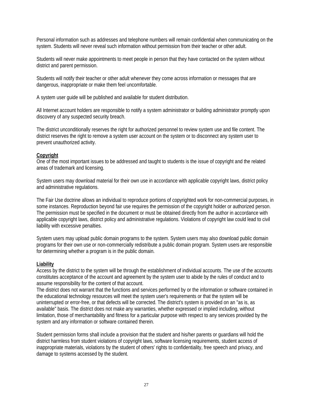Personal information such as addresses and telephone numbers will remain confidential when communicating on the system. Students will never reveal such information without permission from their teacher or other adult.

Students will never make appointments to meet people in person that they have contacted on the system without district and parent permission.

Students will notify their teacher or other adult whenever they come across information or messages that are dangerous, inappropriate or make them feel uncomfortable.

A system user guide will be published and available for student distribution.

All Internet account holders are responsible to notify a system administrator or building administrator promptly upon discovery of any suspected security breach.

The district unconditionally reserves the right for authorized personnel to review system use and file content. The district reserves the right to remove a system user account on the system or to disconnect any system user to prevent unauthorized activity.

#### **Copyright**

One of the most important issues to be addressed and taught to students is the issue of copyright and the related areas of trademark and licensing.

System users may download material for their own use in accordance with applicable copyright laws, district policy and administrative regulations.

The Fair Use doctrine allows an individual to reproduce portions of copyrighted work for non-commercial purposes, in some instances. Reproduction beyond fair use requires the permission of the copyright holder or authorized person. The permission must be specified in the document or must be obtained directly from the author in accordance with applicable copyright laws, district policy and administrative regulations. Violations of copyright law could lead to civil liability with excessive penalties.

System users may upload public domain programs to the system. System users may also download public domain programs for their own use or non-commercially redistribute a public domain program. System users are responsible for determining whether a program is in the public domain.

#### **Liability**

Access by the district to the system will be through the establishment of individual accounts. The use of the accounts constitutes acceptance of the account and agreement by the system user to abide by the rules of conduct and to assume responsibility for the content of that account.

The district does not warrant that the functions and services performed by or the information or software contained in the educational technology resources will meet the system user's requirements or that the system will be uninterrupted or error-free, or that defects will be corrected. The district's system is provided on an "as is, as available" basis. The district does not make any warranties, whether expressed or implied including, without limitation, those of merchantability and fitness for a particular purpose with respect to any services provided by the system and any information or software contained therein.

Student permission forms shall include a provision that the student and his/her parents or guardians will hold the district harmless from student violations of copyright laws, software licensing requirements, student access of inappropriate materials, violations by the student of others' rights to confidentiality, free speech and privacy, and damage to systems accessed by the student.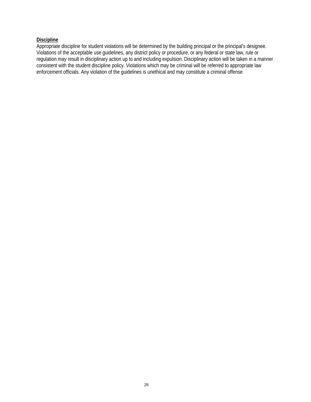# **Discipline**

Appropriate discipline for student violations will be determined by the building principal or the principal's designee. Violations of the acceptable use guidelines, any district policy or procedure, or any federal or state law, rule or regulation may result in disciplinary action up to and including expulsion. Disciplinary action will be taken in a manner consistent with the student discipline policy. Violations which may be criminal will be referred to appropriate law enforcement officials. Any violation of the guidelines is unethical and may constitute a criminal offense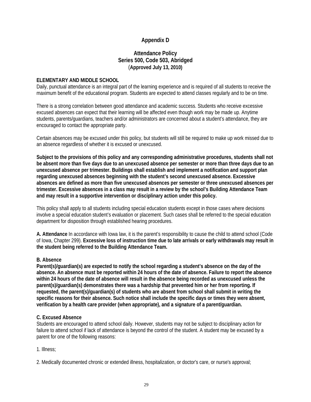# **Appendix D**

# **Attendance Policy Series 500, Code 503, Abridged**  (**Approved July 13, 2010)**

#### **ELEMENTARY AND MIDDLE SCHOOL**

Daily, punctual attendance is an integral part of the learning experience and is required of all students to receive the maximum benefit of the educational program. Students are expected to attend classes regularly and to be on time.

There is a strong correlation between good attendance and academic success. Students who receive excessive excused absences can expect that their learning will be affected even though work may be made up. Anytime students, parents/guardians, teachers and/or administrators are concerned about a student's attendance, they are encouraged to contact the appropriate party.

Certain absences may be excused under this policy, but students will still be required to make up work missed due to an absence regardless of whether it is excused or unexcused.

**Subject to the provisions of this policy and any corresponding administrative procedures, students shall not be absent more than five days due to an unexcused absence per semester or more than three days due to an unexcused absence per trimester. Buildings shall establish and implement a notification and support plan regarding unexcused absences beginning with the student's second unexcused absence. Excessive absences are defined as more than five unexcused absences per semester or three unexcused absences per trimester. Excessive absences in a class may result in a review by the school's Building Attendance Team and may result in a supportive intervention or disciplinary action under this policy.** 

This policy shall apply to all students including special education students except in those cases where decisions involve a special education student's evaluation or placement. Such cases shall be referred to the special education department for disposition through established hearing procedures.

**A. Attendance** In accordance with Iowa law, it is the parent's responsibility to cause the child to attend school (Code of Iowa, Chapter 299). **Excessive loss of instruction time due to late arrivals or early withdrawals may result in the student being referred to the Building Attendance Team.** 

#### **B. Absence**

**Parent(s)/guardian(s) are expected to notify the school regarding a student's absence on the day of the absence. An absence must be reported within 24 hours of the date of absence. Failure to report the absence within 24 hours of the date of absence will result in the absence being recorded as unexcused unless the parent(s)/guardian(s) demonstrates there was a hardship that prevented him or her from reporting. If requested, the parent(s)/guardian(s) of students who are absent from school shall submit in writing the specific reasons for their absence. Such notice shall include the specific days or times they were absent, verification by a health care provider (when appropriate), and a signature of a parent/guardian.** 

#### **C. Excused Absence**

Students are encouraged to attend school daily. However, students may not be subject to disciplinary action for failure to attend school if lack of attendance is beyond the control of the student. A student may be excused by a parent for one of the following reasons:

#### 1. Illness;

2. Medically documented chronic or extended illness, hospitalization, or doctor's care, or nurse's approval;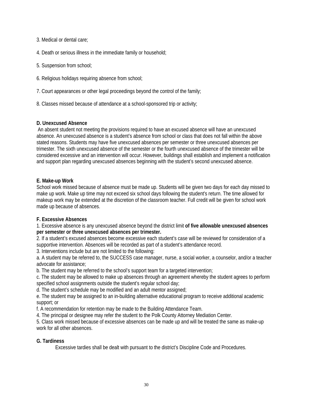3. Medical or dental care;

4. Death or serious illness in the immediate family or household;

- 5. Suspension from school;
- 6. Religious holidays requiring absence from school;
- 7. Court appearances or other legal proceedings beyond the control of the family;
- 8. Classes missed because of attendance at a school-sponsored trip or activity;

#### **D. Unexcused Absence**

An absent student not meeting the provisions required to have an excused absence will have an unexcused absence. An unexcused absence is a student's absence from school or class that does not fall within the above stated reasons. Students may have five unexcused absences per semester or three unexcused absences per trimester. The sixth unexcused absence of the semester or the fourth unexcused absence of the trimester will be considered excessive and an intervention will occur. However, buildings shall establish and implement a notification and support plan regarding unexcused absences beginning with the student's second unexcused absence.

## **E. Make-up Work**

School work missed because of absence must be made up. Students will be given two days for each day missed to make up work. Make up time may not exceed six school days following the student's return. The time allowed for makeup work may be extended at the discretion of the classroom teacher. Full credit will be given for school work made up because of absences.

#### **F. Excessive Absences**

1. Excessive absence is any unexcused absence beyond the district limit **of five allowable unexcused absences per semester or three unexcused absences per trimester.** 

2. If a student's excused absences become excessive each student's case will be reviewed for consideration of a supportive intervention. Absences will be recorded as part of a student's attendance record.

3. Interventions include but are not limited to the following:

a. A student may be referred to, the SUCCESS case manager, nurse, a social worker, a counselor, and/or a teacher advocate for assistance;

b. The student may be referred to the school's support team for a targeted intervention;

c. The student may be allowed to make up absences through an agreement whereby the student agrees to perform specified school assignments outside the student's regular school day;

d. The student's schedule may be modified and an adult mentor assigned;

e. The student may be assigned to an in-building alternative educational program to receive additional academic support; or

f. A recommendation for retention may be made to the Building Attendance Team.

4. The principal or designee may refer the student to the Polk County Attorney Mediation Center.

5. Class work missed because of excessive absences can be made up and will be treated the same as make-up work for all other absences.

#### **G. Tardiness**

Excessive tardies shall be dealt with pursuant to the district's Discipline Code and Procedures.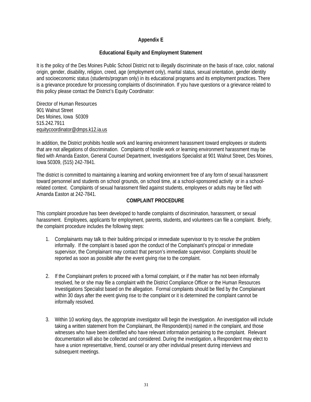## **Appendix E**

#### **Educational Equity and Employment Statement**

It is the policy of the Des Moines Public School District not to illegally discriminate on the basis of race, color, national origin, gender, disability, religion, creed, age (employment only), marital status, sexual orientation, gender identity and socioeconomic status (students/program only) in its educational programs and its employment practices. There is a grievance procedure for processing complaints of discrimination. If you have questions or a grievance related to this policy please contact the District's Equity Coordinator:

Director of Human Resources 901 Walnut Street Des Moines, Iowa 50309 515.242.7911 equitycoordinator@dmps.k12.ia.us

In addition, the District prohibits hostile work and learning environment harassment toward employees or students that are not allegations of discrimination. Complaints of hostile work or learning environment harassment may be filed with Amanda Easton, General Counsel Department, Investigations Specialist at 901 Walnut Street, Des Moines, Iowa 50309, (515) 242-7841.

The district is committed to maintaining a learning and working environment free of any form of sexual harassment toward personnel and students on school grounds, on school time, at a school-sponsored activity or in a schoolrelated context. Complaints of sexual harassment filed against students, employees or adults may be filed with Amanda Easton at 242-7841.

#### **COMPLAINT PROCEDURE**

This complaint procedure has been developed to handle complaints of discrimination, harassment, or sexual harassment. Employees, applicants for employment, parents, students, and volunteers can file a complaint. Briefly, the complaint procedure includes the following steps:

- 1. Complainants may talk to their building principal or immediate supervisor to try to resolve the problem informally. If the complaint is based upon the conduct of the Complainant's principal or immediate supervisor, the Complainant may contact that person's immediate supervisor. Complaints should be reported as soon as possible after the event giving rise to the complaint.
- 2. If the Complainant prefers to proceed with a formal complaint, or if the matter has not been informally resolved, he or she may file a complaint with the District Compliance Officer or the Human Resources Investigations Specialist based on the allegation. Formal complaints should be filed by the Complainant within 30 days after the event giving rise to the complaint or it is determined the complaint cannot be informally resolved.
- 3. Within 10 working days, the appropriate investigator will begin the investigation. An investigation will include taking a written statement from the Complainant, the Respondent(s) named in the complaint, and those witnesses who have been identified who have relevant information pertaining to the complaint. Relevant documentation will also be collected and considered. During the investigation, a Respondent may elect to have a union representative, friend, counsel or any other individual present during interviews and subsequent meetings.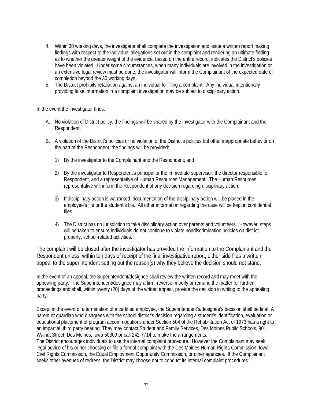- 4. Within 30 working days, the investigator shall complete the investigation and issue a written report making findings with respect to the individual allegations set out in the complaint and rendering an ultimate finding as to whether the greater weight of the evidence, based on the entire record, indicates the District's policies have been violated. Under some circumstances, when many individuals are involved in the investigation or an extensive legal review must be done, the investigator will inform the Complainant of the expected date of completion beyond the 30 working days.
- 5. The District prohibits retaliation against an individual for filing a complaint. Any individual intentionally providing false information in a complaint investigation may be subject to disciplinary action.

In the event the investigator finds:

- A. No violation of District policy, the findings will be shared by the investigator with the Complainant and the Respondent.
- B. A violation of the District's policies or no violation of the District's policies but other inappropriate behavior on the part of the Respondent, the findings will be provided:
	- 1) By the investigator to the Complainant and the Respondent; and
	- 2) By the investigator to Respondent's principal or the immediate supervisor, the director responsible for Respondent, and a representative of Human Resources Management. The Human Resources representative will inform the Respondent of any decision regarding disciplinary action.
	- 3) If disciplinary action is warranted, documentation of the disciplinary action will be placed in the employee's file or the student's file. All other information regarding the case will be kept in confidential files.
	- 4) The District has no jurisdiction to take disciplinary action over parents and volunteers. However, steps will be taken to ensure individuals do not continue to violate nondiscrimination policies on district property, school-related activities.

The complaint will be closed after the investigator has provided the information to the Complainant and the Respondent unless, within ten days of receipt of the final investigative report, either side files a written appeal to the superintendent setting out the reason(s) why they believe the decision should not stand.

In the event of an appeal, the Superintendent/designee shall review the written record and may meet with the appealing party. The Superintendent/designee may affirm, reverse, modify or remand the matter for further proceedings and shall, within twenty (20) days of the written appeal, provide the decision in writing to the appealing party.

Except in the event of a termination of a certified employee, the Superintendent's/designee's decision shall be final. A parent or guardian who disagrees with the school district's decision regarding a student's identification, evaluation or educational placement of program accommodations under Section 504 of the Rehabilitation Act of 1973 has a right to an impartial, third party hearing. They may contact Student and Family Services, Des Moines Public Schools, 901 Walnut Street, Des Moines, Iowa 50309 or call 242-7714 to make the arrangements.

The District encourages individuals to use the internal complaint procedure. However the Complainant may seek legal advice of his or her choosing or file a formal complaint with the Des Moines Human Rights Commission, Iowa Civil Rights Commission, the Equal Employment Opportunity Commission, or other agencies. If the Complainant seeks other avenues of redress, the District may choose not to conduct its internal complaint procedures.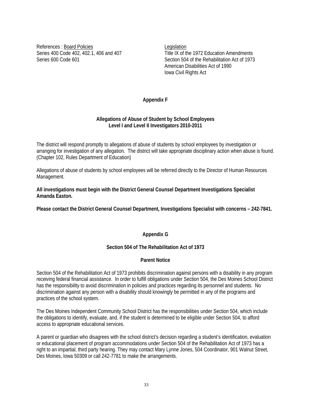References : Board Policies Legislation

Series 400 Code 402, 402.1, 406 and 407 Title IX of the 1972 Education Amendments Series 600 Code 601 Section 504 of the Rehabilitation Act of 1973 American Disabilities Act of 1990 Iowa Civil Rights Act

#### **Appendix F**

#### **Allegations of Abuse of Student by School Employees Level I and Level II Investigators 2010-2011**

The district will respond promptly to allegations of abuse of students by school employees by investigation or arranging for investigation of any allegation. The district will take appropriate disciplinary action when abuse is found. (Chapter 102, Rules Department of Education)

Allegations of abuse of students by school employees will be referred directly to the Director of Human Resources Management.

**All investigations must begin with the District General Counsel Department Investigations Specialist Amanda Easton.** 

**Please contact the District General Counsel Department, Investigations Specialist with concerns – 242-7841.** 

#### **Appendix G**

#### **Section 504 of The Rehabilitation Act of 1973**

#### **Parent Notice**

Section 504 of the Rehabilitation Act of 1973 prohibits discrimination against persons with a disability in any program receiving federal financial assistance. In order to fulfill obligations under Section 504, the Des Moines School District has the responsibility to avoid discrimination in policies and practices regarding its personnel and students. No discrimination against any person with a disability should knowingly be permitted in any of the programs and practices of the school system.

The Des Moines Independent Community School District has the responsibilities under Section 504, which include the obligations to identify, evaluate, and, if the student is determined to be eligible under Section 504, to afford access to appropriate educational services.

A parent or guardian who disagrees with the school district's decision regarding a student's identification, evaluation or educational placement of program accommodations under Section 504 of the Rehabilitation Act of 1973 has a right to an impartial, third party hearing. They may contact Mary Lynne Jones, 504 Coordinator, 901 Walnut Street, Des Moines, Iowa 50309 or call 242-7781 to make the arrangements.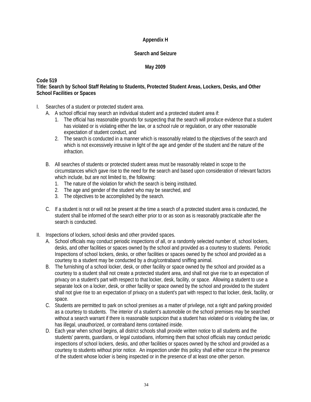## **Appendix H**

#### **Search and Seizure**

#### **May 2009**

#### **Code 519**

#### **Title: Search by School Staff Relating to Students, Protected Student Areas, Lockers, Desks, and Other School Facilities or Spaces**

- I. Searches of a student or protected student area.
	- A. A school official may search an individual student and a protected student area if:
		- 1. The official has reasonable grounds for suspecting that the search will produce evidence that a student has violated or is violating either the law, or a school rule or regulation, or any other reasonable expectation of student conduct, and
		- 2. The search is conducted in a manner which is reasonably related to the objectives of the search and which is not excessively intrusive in light of the age and gender of the student and the nature of the infraction.
	- B. All searches of students or protected student areas must be reasonably related in scope to the circumstances which gave rise to the need for the search and based upon consideration of relevant factors which include, but are not limited to, the following:
		- 1. The nature of the violation for which the search is being instituted.
		- 2. The age and gender of the student who may be searched, and
		- 3. The objectives to be accomplished by the search.
	- C. If a student is not or will not be present at the time a search of a protected student area is conducted, the student shall be informed of the search either prior to or as soon as is reasonably practicable after the search is conducted.
- II. Inspections of lockers, school desks and other provided spaces.
	- A. School officials may conduct periodic inspections of all, or a randomly selected number of, school lockers, desks, and other facilities or spaces owned by the school and provided as a courtesy to students. Periodic Inspections of school lockers, desks, or other facilities or spaces owned by the school and provided as a courtesy to a student may be conducted by a drug/contraband sniffing animal.
	- B. The furnishing of a school locker, desk, or other facility or space owned by the school and provided as a courtesy to a student shall not create a protected student area, and shall not give rise to an expectation of privacy on a student's part with respect to that locker, desk, facility, or space. Allowing a student to use a separate lock on a locker, desk, or other facility or space owned by the school and provided to the student shall not give rise to an expectation of privacy on a student's part with respect to that locker, desk, facility, or space.
	- C. Students are permitted to park on school premises as a matter of privilege, not a right and parking provided as a courtesy to students. The interior of a student's automobile on the school premises may be searched without a search warrant if there is reasonable suspicion that a student has violated or is violating the law, or has illegal, unauthorized, or contraband items contained inside.
	- D. Each year when school begins, all district schools shall provide written notice to all students and the students' parents, guardians, or legal custodians, informing them that school officials may conduct periodic inspections of school lockers, desks, and other facilities or spaces owned by the school and provided as a courtesy to students without prior notice. An inspection under this policy shall either occur in the presence of the student whose locker is being inspected or in the presence of at least one other person.